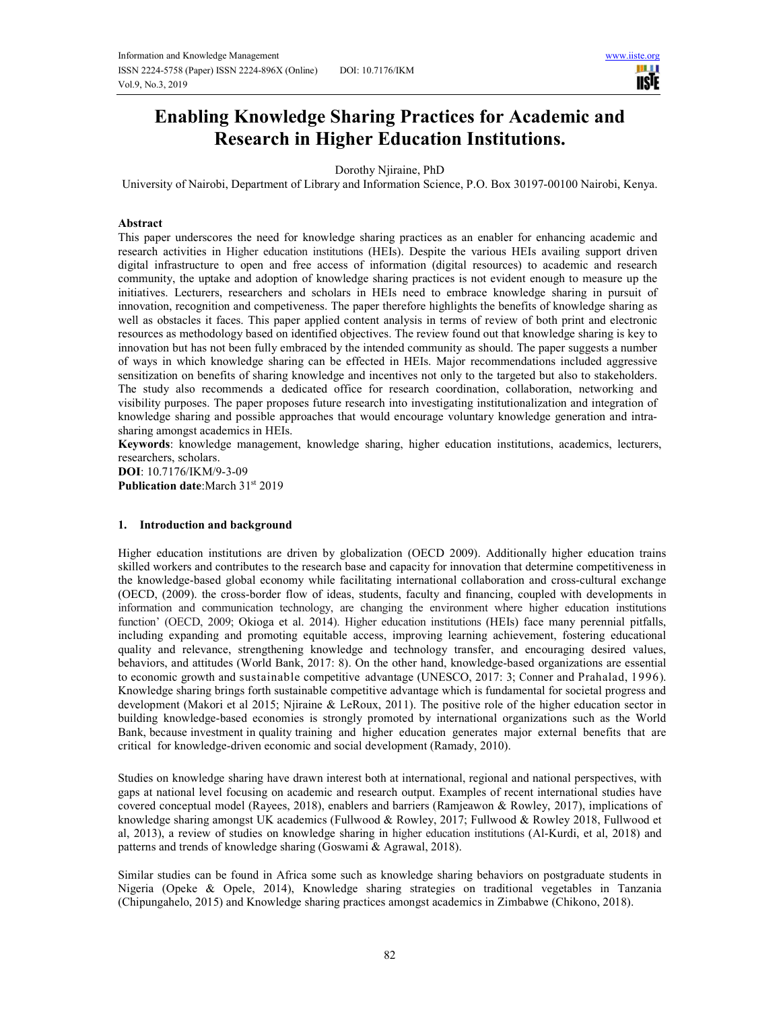

# **Enabling Knowledge Sharing Practices for Academic and Research in Higher Education Institutions.**

Dorothy Njiraine, PhD

University of Nairobi, Department of Library and Information Science, P.O. Box 30197-00100 Nairobi, Kenya.

## **Abstract**

This paper underscores the need for knowledge sharing practices as an enabler for enhancing academic and research activities in Higher education institutions (HEIs). Despite the various HEIs availing support driven digital infrastructure to open and free access of information (digital resources) to academic and research community, the uptake and adoption of knowledge sharing practices is not evident enough to measure up the initiatives. Lecturers, researchers and scholars in HEIs need to embrace knowledge sharing in pursuit of innovation, recognition and competiveness. The paper therefore highlights the benefits of knowledge sharing as well as obstacles it faces. This paper applied content analysis in terms of review of both print and electronic resources as methodology based on identified objectives. The review found out that knowledge sharing is key to innovation but has not been fully embraced by the intended community as should. The paper suggests a number of ways in which knowledge sharing can be effected in HEIs. Major recommendations included aggressive sensitization on benefits of sharing knowledge and incentives not only to the targeted but also to stakeholders. The study also recommends a dedicated office for research coordination, collaboration, networking and visibility purposes. The paper proposes future research into investigating institutionalization and integration of knowledge sharing and possible approaches that would encourage voluntary knowledge generation and intrasharing amongst academics in HEIs.

**Keywords**: knowledge management, knowledge sharing, higher education institutions, academics, lecturers, researchers, scholars.

**DOI**: 10.7176/IKM/9-3-09 **Publication date**:March 31st 2019

### **1. Introduction and background**

Higher education institutions are driven by globalization (OECD 2009). Additionally higher education trains skilled workers and contributes to the research base and capacity for innovation that determine competitiveness in the knowledge-based global economy while facilitating international collaboration and cross-cultural exchange (OECD, (2009). the cross-border flow of ideas, students, faculty and financing, coupled with developments in information and communication technology, are changing the environment where higher education institutions function' (OECD, 2009; Okioga et al. 2014). Higher education institutions (HEIs) face many perennial pitfalls, including expanding and promoting equitable access, improving learning achievement, fostering educational quality and relevance, strengthening knowledge and technology transfer, and encouraging desired values, behaviors, and attitudes (World Bank, 2017: 8). On the other hand, knowledge-based organizations are essential to economic growth and sustainable competitive advantage (UNESCO, 2017: 3; Conner and Prahalad, 1996). Knowledge sharing brings forth sustainable competitive advantage which is fundamental for societal progress and development (Makori et al 2015; Njiraine & LeRoux, 2011). The positive role of the higher education sector in building knowledge-based economies is strongly promoted by international organizations such as the World Bank, because investment in quality training and higher education generates major external benefits that are critical for knowledge-driven economic and social development (Ramady, 2010).

Studies on knowledge sharing have drawn interest both at international, regional and national perspectives, with gaps at national level focusing on academic and research output. Examples of recent international studies have covered conceptual model (Rayees, 2018), enablers and barriers (Ramjeawon & Rowley, 2017), implications of knowledge sharing amongst UK academics (Fullwood & Rowley, 2017; Fullwood & Rowley 2018, Fullwood et al, 2013), a review of studies on knowledge sharing in higher education institutions (Al-Kurdi, et al, 2018) and patterns and trends of knowledge sharing (Goswami & Agrawal, 2018).

Similar studies can be found in Africa some such as knowledge sharing behaviors on postgraduate students in Nigeria (Opeke & Opele, 2014), Knowledge sharing strategies on traditional vegetables in Tanzania (Chipungahelo, 2015) and Knowledge sharing practices amongst academics in Zimbabwe (Chikono, 2018).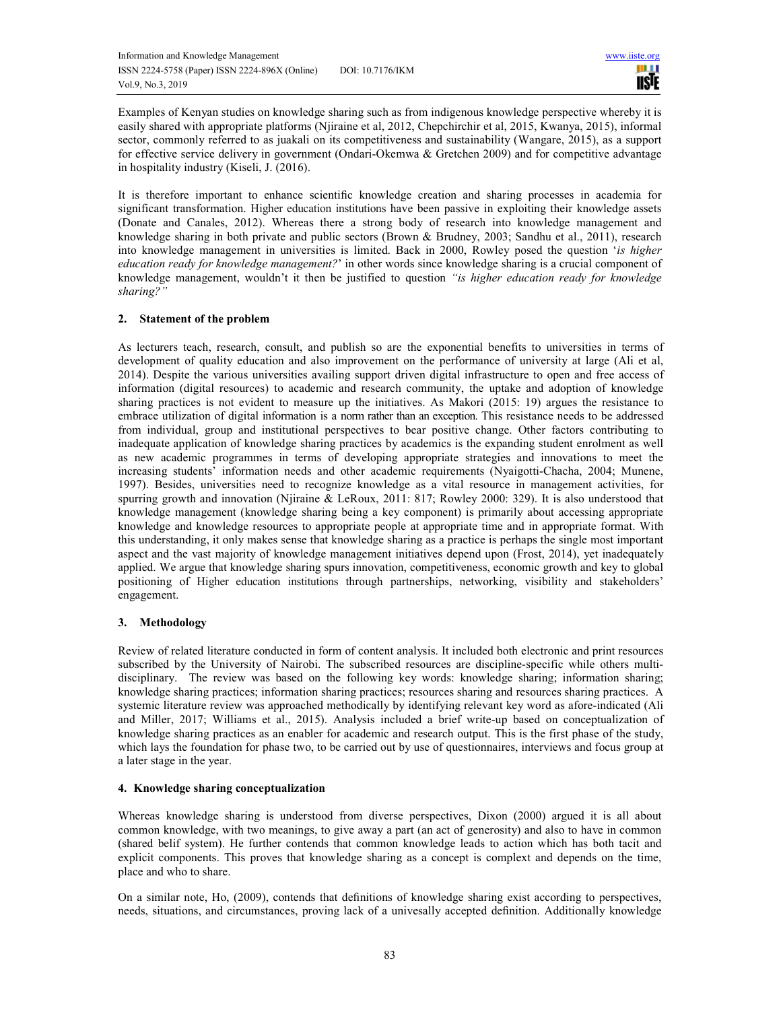Examples of Kenyan studies on knowledge sharing such as from indigenous knowledge perspective whereby it is easily shared with appropriate platforms (Njiraine et al, 2012, Chepchirchir et al, 2015, Kwanya, 2015), informal sector, commonly referred to as juakali on its competitiveness and sustainability (Wangare, 2015), as a support for effective service delivery in government (Ondari-Okemwa & Gretchen 2009) and for competitive advantage in hospitality industry (Kiseli, J. (2016).

It is therefore important to enhance scientific knowledge creation and sharing processes in academia for significant transformation. Higher education institutions have been passive in exploiting their knowledge assets (Donate and Canales, 2012). Whereas there a strong body of research into knowledge management and knowledge sharing in both private and public sectors (Brown & Brudney, 2003; Sandhu et al., 2011), research into knowledge management in universities is limited. Back in 2000, Rowley posed the question '*is higher education ready for knowledge management?*' in other words since knowledge sharing is a crucial component of knowledge management, wouldn't it then be justified to question *"is higher education ready for knowledge sharing?"* 

# **2. Statement of the problem**

As lecturers teach, research, consult, and publish so are the exponential benefits to universities in terms of development of quality education and also improvement on the performance of university at large (Ali et al, 2014). Despite the various universities availing support driven digital infrastructure to open and free access of information (digital resources) to academic and research community, the uptake and adoption of knowledge sharing practices is not evident to measure up the initiatives. As Makori (2015: 19) argues the resistance to embrace utilization of digital information is a norm rather than an exception. This resistance needs to be addressed from individual, group and institutional perspectives to bear positive change. Other factors contributing to inadequate application of knowledge sharing practices by academics is the expanding student enrolment as well as new academic programmes in terms of developing appropriate strategies and innovations to meet the increasing students' information needs and other academic requirements (Nyaigotti-Chacha, 2004; Munene, 1997). Besides, universities need to recognize knowledge as a vital resource in management activities, for spurring growth and innovation (Njiraine & LeRoux, 2011: 817; Rowley 2000: 329). It is also understood that knowledge management (knowledge sharing being a key component) is primarily about accessing appropriate knowledge and knowledge resources to appropriate people at appropriate time and in appropriate format. With this understanding, it only makes sense that knowledge sharing as a practice is perhaps the single most important aspect and the vast majority of knowledge management initiatives depend upon (Frost, 2014), yet inadequately applied. We argue that knowledge sharing spurs innovation, competitiveness, economic growth and key to global positioning of Higher education institutions through partnerships, networking, visibility and stakeholders' engagement.

# **3. Methodology**

Review of related literature conducted in form of content analysis. It included both electronic and print resources subscribed by the University of Nairobi. The subscribed resources are discipline-specific while others multidisciplinary. The review was based on the following key words: knowledge sharing; information sharing; knowledge sharing practices; information sharing practices; resources sharing and resources sharing practices. A systemic literature review was approached methodically by identifying relevant key word as afore-indicated (Ali and Miller, 2017; Williams et al., 2015). Analysis included a brief write-up based on conceptualization of knowledge sharing practices as an enabler for academic and research output. This is the first phase of the study, which lays the foundation for phase two, to be carried out by use of questionnaires, interviews and focus group at a later stage in the year.

# **4. Knowledge sharing conceptualization**

Whereas knowledge sharing is understood from diverse perspectives, Dixon (2000) argued it is all about common knowledge, with two meanings, to give away a part (an act of generosity) and also to have in common (shared belif system). He further contends that common knowledge leads to action which has both tacit and explicit components. This proves that knowledge sharing as a concept is complext and depends on the time, place and who to share.

On a similar note, Ho, (2009), contends that definitions of knowledge sharing exist according to perspectives, needs, situations, and circumstances, proving lack of a univesally accepted definition. Additionally knowledge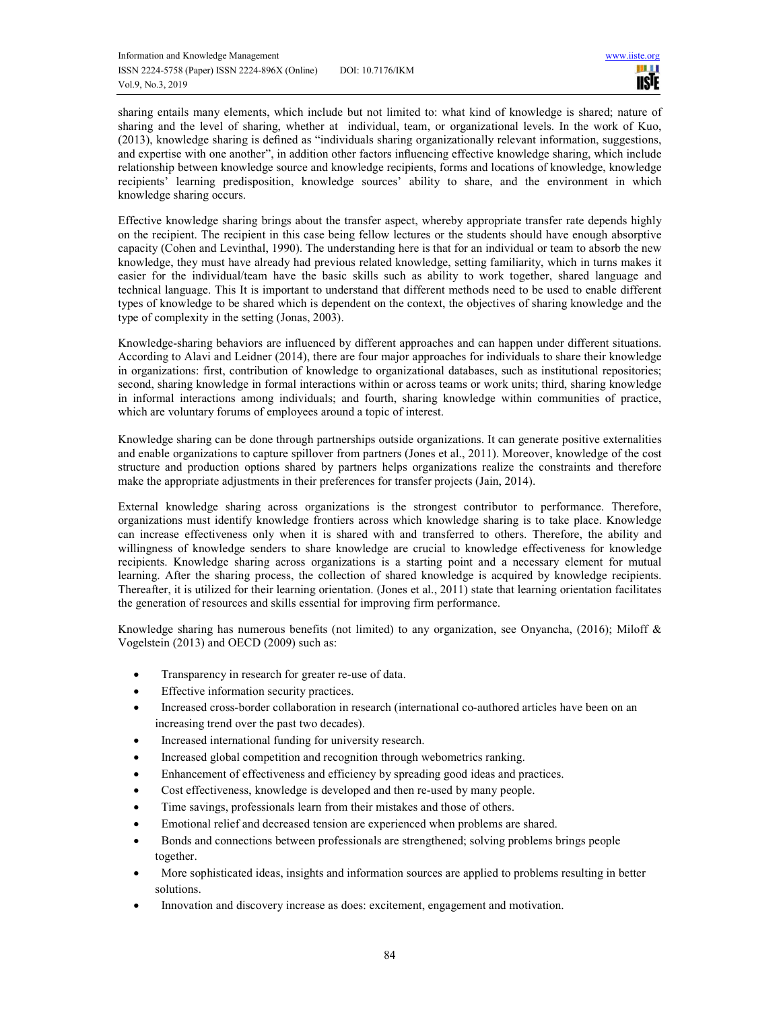sharing entails many elements, which include but not limited to: what kind of knowledge is shared; nature of sharing and the level of sharing, whether at individual, team, or organizational levels. In the work of Kuo, (2013), knowledge sharing is defined as "individuals sharing organizationally relevant information, suggestions, and expertise with one another", in addition other factors influencing effective knowledge sharing, which include relationship between knowledge source and knowledge recipients, forms and locations of knowledge, knowledge recipients' learning predisposition, knowledge sources' ability to share, and the environment in which knowledge sharing occurs.

Effective knowledge sharing brings about the transfer aspect, whereby appropriate transfer rate depends highly on the recipient. The recipient in this case being fellow lectures or the students should have enough absorptive capacity (Cohen and Levinthal, 1990). The understanding here is that for an individual or team to absorb the new knowledge, they must have already had previous related knowledge, setting familiarity, which in turns makes it easier for the individual/team have the basic skills such as ability to work together, shared language and technical language. This It is important to understand that different methods need to be used to enable different types of knowledge to be shared which is dependent on the context, the objectives of sharing knowledge and the type of complexity in the setting (Jonas, 2003).

Knowledge-sharing behaviors are influenced by different approaches and can happen under different situations. According to Alavi and Leidner (2014), there are four major approaches for individuals to share their knowledge in organizations: first, contribution of knowledge to organizational databases, such as institutional repositories; second, sharing knowledge in formal interactions within or across teams or work units; third, sharing knowledge in informal interactions among individuals; and fourth, sharing knowledge within communities of practice, which are voluntary forums of employees around a topic of interest.

Knowledge sharing can be done through partnerships outside organizations. It can generate positive externalities and enable organizations to capture spillover from partners (Jones et al., 2011). Moreover, knowledge of the cost structure and production options shared by partners helps organizations realize the constraints and therefore make the appropriate adjustments in their preferences for transfer projects (Jain, 2014).

External knowledge sharing across organizations is the strongest contributor to performance. Therefore, organizations must identify knowledge frontiers across which knowledge sharing is to take place. Knowledge can increase effectiveness only when it is shared with and transferred to others. Therefore, the ability and willingness of knowledge senders to share knowledge are crucial to knowledge effectiveness for knowledge recipients. Knowledge sharing across organizations is a starting point and a necessary element for mutual learning. After the sharing process, the collection of shared knowledge is acquired by knowledge recipients. Thereafter, it is utilized for their learning orientation. (Jones et al., 2011) state that learning orientation facilitates the generation of resources and skills essential for improving firm performance.

Knowledge sharing has numerous benefits (not limited) to any organization, see Onyancha, (2016); Miloff & Vogelstein (2013) and OECD (2009) such as:

- Transparency in research for greater re-use of data.
- Effective information security practices.
- Increased cross-border collaboration in research (international co-authored articles have been on an increasing trend over the past two decades).
- Increased international funding for university research.
- Increased global competition and recognition through webometrics ranking.
- Enhancement of effectiveness and efficiency by spreading good ideas and practices.
- Cost effectiveness, knowledge is developed and then re-used by many people.
- Time savings, professionals learn from their mistakes and those of others.
- Emotional relief and decreased tension are experienced when problems are shared.
- Bonds and connections between professionals are strengthened; solving problems brings people together.
- More sophisticated ideas, insights and information sources are applied to problems resulting in better solutions.
- Innovation and discovery increase as does: excitement, engagement and motivation.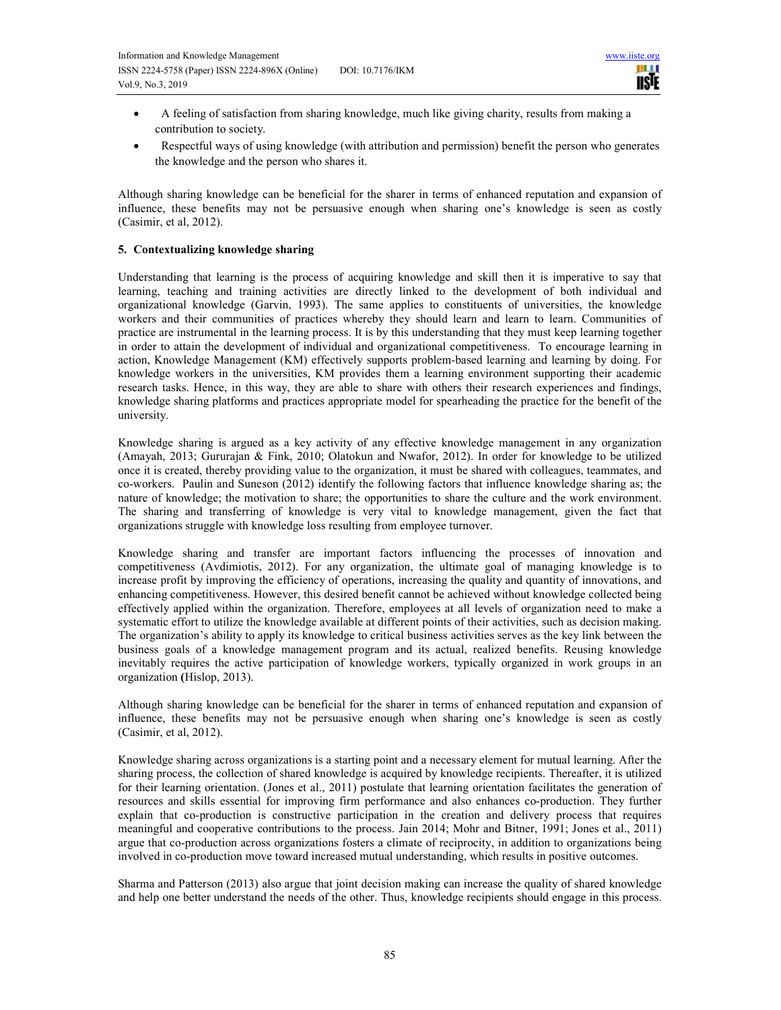- A feeling of satisfaction from sharing knowledge, much like giving charity, results from making a contribution to society.
- Respectful ways of using knowledge (with attribution and permission) benefit the person who generates the knowledge and the person who shares it.

Although sharing knowledge can be beneficial for the sharer in terms of enhanced reputation and expansion of influence, these benefits may not be persuasive enough when sharing one's knowledge is seen as costly (Casimir, et al, 2012).

# **5. Contextualizing knowledge sharing**

Understanding that learning is the process of acquiring knowledge and skill then it is imperative to say that learning, teaching and training activities are directly linked to the development of both individual and organizational knowledge (Garvin, 1993). The same applies to constituents of universities, the knowledge workers and their communities of practices whereby they should learn and learn to learn. Communities of practice are instrumental in the learning process. It is by this understanding that they must keep learning together in order to attain the development of individual and organizational competitiveness. To encourage learning in action, Knowledge Management (KM) effectively supports problem-based learning and learning by doing. For knowledge workers in the universities, KM provides them a learning environment supporting their academic research tasks. Hence, in this way, they are able to share with others their research experiences and findings, knowledge sharing platforms and practices appropriate model for spearheading the practice for the benefit of the university.

Knowledge sharing is argued as a key activity of any effective knowledge management in any organization (Amayah, 2013; Gururajan & Fink, 2010; Olatokun and Nwafor, 2012). In order for knowledge to be utilized once it is created, thereby providing value to the organization, it must be shared with colleagues, teammates, and co-workers. Paulin and Suneson (2012) identify the following factors that influence knowledge sharing as; the nature of knowledge; the motivation to share; the opportunities to share the culture and the work environment. The sharing and transferring of knowledge is very vital to knowledge management, given the fact that organizations struggle with knowledge loss resulting from employee turnover.

Knowledge sharing and transfer are important factors influencing the processes of innovation and competitiveness (Avdimiotis, 2012). For any organization, the ultimate goal of managing knowledge is to increase profit by improving the efficiency of operations, increasing the quality and quantity of innovations, and enhancing competitiveness. However, this desired benefit cannot be achieved without knowledge collected being effectively applied within the organization. Therefore, employees at all levels of organization need to make a systematic effort to utilize the knowledge available at different points of their activities, such as decision making. The organization's ability to apply its knowledge to critical business activities serves as the key link between the business goals of a knowledge management program and its actual, realized benefits. Reusing knowledge inevitably requires the active participation of knowledge workers, typically organized in work groups in an organization **(**Hislop, 2013).

Although sharing knowledge can be beneficial for the sharer in terms of enhanced reputation and expansion of influence, these benefits may not be persuasive enough when sharing one's knowledge is seen as costly (Casimir, et al, 2012).

Knowledge sharing across organizations is a starting point and a necessary element for mutual learning. After the sharing process, the collection of shared knowledge is acquired by knowledge recipients. Thereafter, it is utilized for their learning orientation. (Jones et al., 2011) postulate that learning orientation facilitates the generation of resources and skills essential for improving firm performance and also enhances co-production. They further explain that co-production is constructive participation in the creation and delivery process that requires meaningful and cooperative contributions to the process. Jain 2014; Mohr and Bitner, 1991; Jones et al., 2011) argue that co-production across organizations fosters a climate of reciprocity, in addition to organizations being involved in co-production move toward increased mutual understanding, which results in positive outcomes.

Sharma and Patterson (2013) also argue that joint decision making can increase the quality of shared knowledge and help one better understand the needs of the other. Thus, knowledge recipients should engage in this process.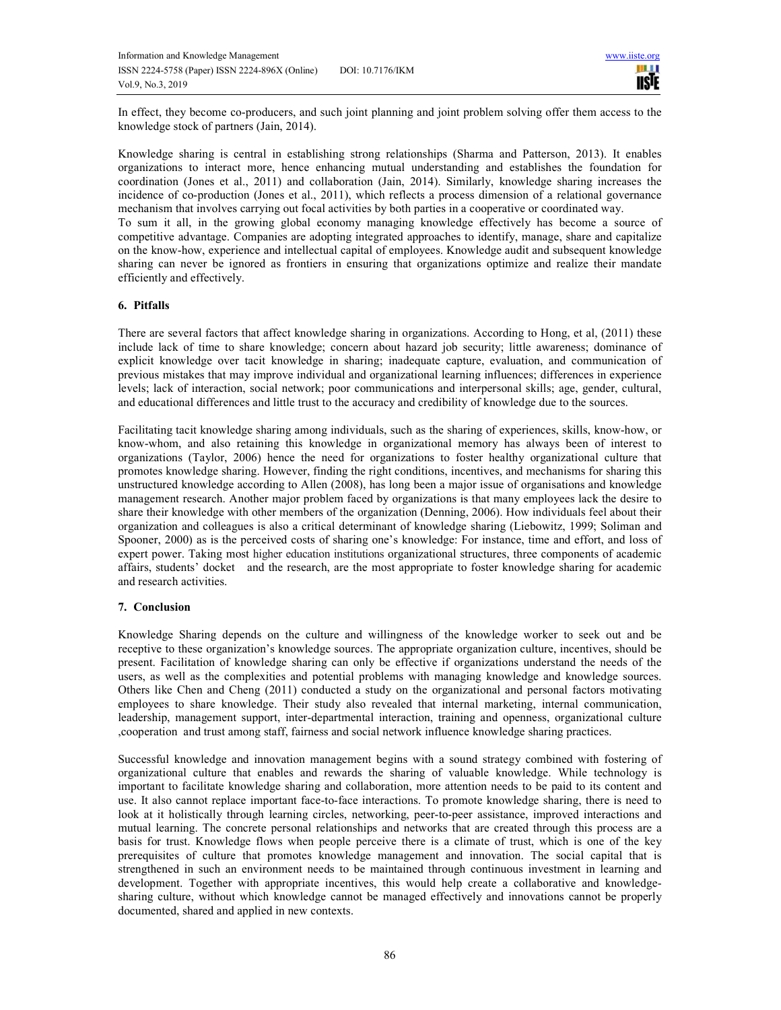In effect, they become co-producers, and such joint planning and joint problem solving offer them access to the knowledge stock of partners (Jain, 2014).

Knowledge sharing is central in establishing strong relationships (Sharma and Patterson, 2013). It enables organizations to interact more, hence enhancing mutual understanding and establishes the foundation for coordination (Jones et al., 2011) and collaboration (Jain, 2014). Similarly, knowledge sharing increases the incidence of co-production (Jones et al., 2011), which reflects a process dimension of a relational governance mechanism that involves carrying out focal activities by both parties in a cooperative or coordinated way. To sum it all, in the growing global economy managing knowledge effectively has become a source of competitive advantage. Companies are adopting integrated approaches to identify, manage, share and capitalize on the know-how, experience and intellectual capital of employees. Knowledge audit and subsequent knowledge sharing can never be ignored as frontiers in ensuring that organizations optimize and realize their mandate

# **6. Pitfalls**

efficiently and effectively.

There are several factors that affect knowledge sharing in organizations. According to Hong, et al, (2011) these include lack of time to share knowledge; concern about hazard job security; little awareness; dominance of explicit knowledge over tacit knowledge in sharing; inadequate capture, evaluation, and communication of previous mistakes that may improve individual and organizational learning influences; differences in experience levels; lack of interaction, social network; poor communications and interpersonal skills; age, gender, cultural, and educational differences and little trust to the accuracy and credibility of knowledge due to the sources.

Facilitating tacit knowledge sharing among individuals, such as the sharing of experiences, skills, know-how, or know-whom, and also retaining this knowledge in organizational memory has always been of interest to organizations (Taylor, 2006) hence the need for organizations to foster healthy organizational culture that promotes knowledge sharing. However, finding the right conditions, incentives, and mechanisms for sharing this unstructured knowledge according to Allen (2008), has long been a major issue of organisations and knowledge management research. Another major problem faced by organizations is that many employees lack the desire to share their knowledge with other members of the organization (Denning, 2006). How individuals feel about their organization and colleagues is also a critical determinant of knowledge sharing (Liebowitz, 1999; Soliman and Spooner, 2000) as is the perceived costs of sharing one's knowledge: For instance, time and effort, and loss of expert power. Taking most higher education institutions organizational structures, three components of academic affairs, students' docket and the research, are the most appropriate to foster knowledge sharing for academic and research activities.

# **7. Conclusion**

Knowledge Sharing depends on the culture and willingness of the knowledge worker to seek out and be receptive to these organization's knowledge sources. The appropriate organization culture, incentives, should be present. Facilitation of knowledge sharing can only be effective if organizations understand the needs of the users, as well as the complexities and potential problems with managing knowledge and knowledge sources. Others like Chen and Cheng (2011) conducted a study on the organizational and personal factors motivating employees to share knowledge. Their study also revealed that internal marketing, internal communication, leadership, management support, inter-departmental interaction, training and openness, organizational culture ,cooperation and trust among staff, fairness and social network influence knowledge sharing practices.

Successful knowledge and innovation management begins with a sound strategy combined with fostering of organizational culture that enables and rewards the sharing of valuable knowledge. While technology is important to facilitate knowledge sharing and collaboration, more attention needs to be paid to its content and use. It also cannot replace important face-to-face interactions. To promote knowledge sharing, there is need to look at it holistically through learning circles, networking, peer-to-peer assistance, improved interactions and mutual learning. The concrete personal relationships and networks that are created through this process are a basis for trust. Knowledge flows when people perceive there is a climate of trust, which is one of the key prerequisites of culture that promotes knowledge management and innovation. The social capital that is strengthened in such an environment needs to be maintained through continuous investment in learning and development. Together with appropriate incentives, this would help create a collaborative and knowledgesharing culture, without which knowledge cannot be managed effectively and innovations cannot be properly documented, shared and applied in new contexts.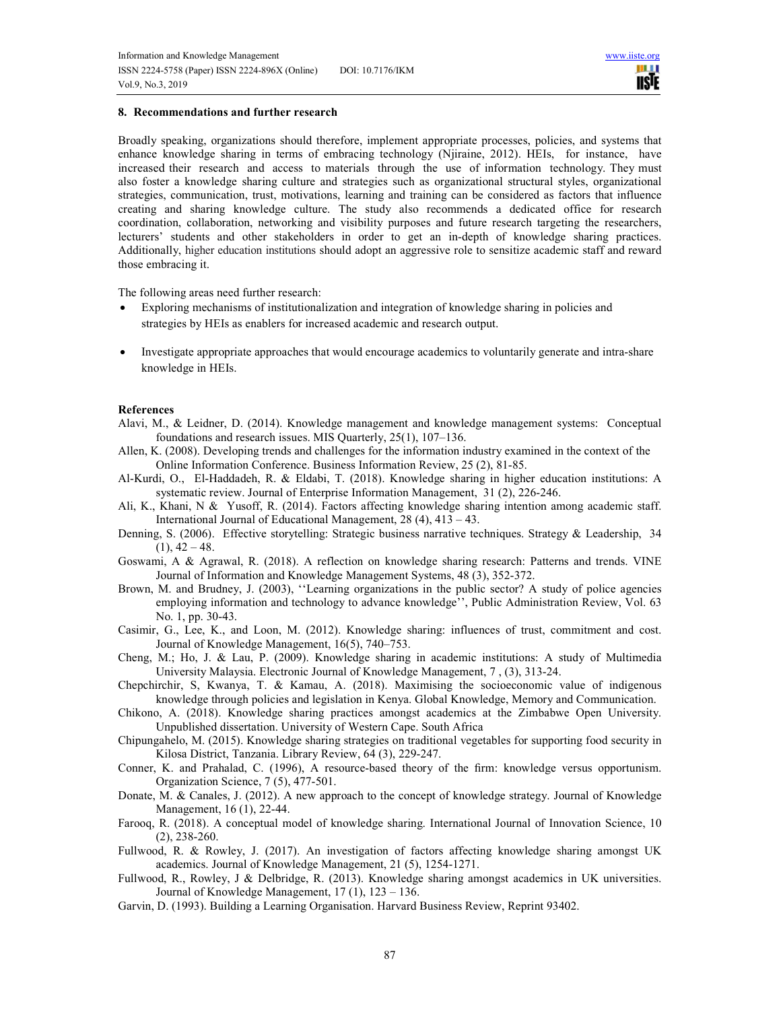## **8. Recommendations and further research**

Broadly speaking, organizations should therefore, implement appropriate processes, policies, and systems that enhance knowledge sharing in terms of embracing technology (Njiraine, 2012). HEIs, for instance, have increased their research and access to materials through the use of information technology. They must also foster a knowledge sharing culture and strategies such as organizational structural styles, organizational strategies, communication, trust, motivations, learning and training can be considered as factors that influence creating and sharing knowledge culture. The study also recommends a dedicated office for research coordination, collaboration, networking and visibility purposes and future research targeting the researchers, lecturers' students and other stakeholders in order to get an in-depth of knowledge sharing practices. Additionally, higher education institutions should adopt an aggressive role to sensitize academic staff and reward those embracing it.

The following areas need further research:

- Exploring mechanisms of institutionalization and integration of knowledge sharing in policies and strategies by HEIs as enablers for increased academic and research output.
- Investigate appropriate approaches that would encourage academics to voluntarily generate and intra-share knowledge in HEIs.

## **References**

- Alavi, M., & Leidner, D. (2014). Knowledge management and knowledge management systems: Conceptual foundations and research issues. MIS Quarterly, 25(1), 107–136.
- Allen, K. (2008). Developing trends and challenges for the information industry examined in the context of the Online Information Conference. Business Information Review, 25 (2), 81-85.
- Al-Kurdi, O., El-Haddadeh, R. & Eldabi, T. (2018). Knowledge sharing in higher education institutions: A systematic review. Journal of Enterprise Information Management, 31 (2), 226-246.
- Ali, K., Khani, N & Yusoff, R. (2014). Factors affecting knowledge sharing intention among academic staff. International Journal of Educational Management, 28 (4), 413 – 43.
- Denning, S. (2006). Effective storytelling: Strategic business narrative techniques. Strategy & Leadership, 34  $(1), 42 - 48.$
- Goswami, A & Agrawal, R. (2018). A reflection on knowledge sharing research: Patterns and trends. VINE Journal of Information and Knowledge Management Systems, 48 (3), 352-372.
- Brown, M. and Brudney, J. (2003), ''Learning organizations in the public sector? A study of police agencies employing information and technology to advance knowledge'', Public Administration Review, Vol. 63 No. 1, pp. 30-43.
- Casimir, G., Lee, K., and Loon, M. (2012). Knowledge sharing: influences of trust, commitment and cost. Journal of Knowledge Management, 16(5), 740–753.
- Cheng, M.; Ho, J. & Lau, P. (2009). Knowledge sharing in academic institutions: A study of Multimedia University Malaysia. Electronic Journal of Knowledge Management, 7 , (3), 313-24.
- Chepchirchir, S, Kwanya, T. & Kamau, A. (2018). Maximising the socioeconomic value of indigenous knowledge through policies and legislation in Kenya. Global Knowledge, Memory and Communication.
- Chikono, A. (2018). Knowledge sharing practices amongst academics at the Zimbabwe Open University. Unpublished dissertation. University of Western Cape. South Africa
- Chipungahelo, M. (2015). Knowledge sharing strategies on traditional vegetables for supporting food security in Kilosa District, Tanzania. Library Review, 64 (3), 229-247.
- Conner, K. and Prahalad, C. (1996), A resource-based theory of the firm: knowledge versus opportunism. Organization Science, 7 (5), 477-501.
- Donate, M. & Canales, J. (2012). A new approach to the concept of knowledge strategy. Journal of Knowledge Management, 16 (1), 22-44.
- Farooq, R. (2018). A conceptual model of knowledge sharing. International Journal of Innovation Science, 10 (2), 238-260.
- Fullwood, R. & Rowley, J. (2017). An investigation of factors affecting knowledge sharing amongst UK academics. Journal of Knowledge Management, 21 (5), 1254-1271.
- Fullwood, R., Rowley, J & Delbridge, R. (2013). Knowledge sharing amongst academics in UK universities. Journal of Knowledge Management, 17 (1), 123 – 136.
- Garvin, D. (1993). Building a Learning Organisation. Harvard Business Review, Reprint 93402.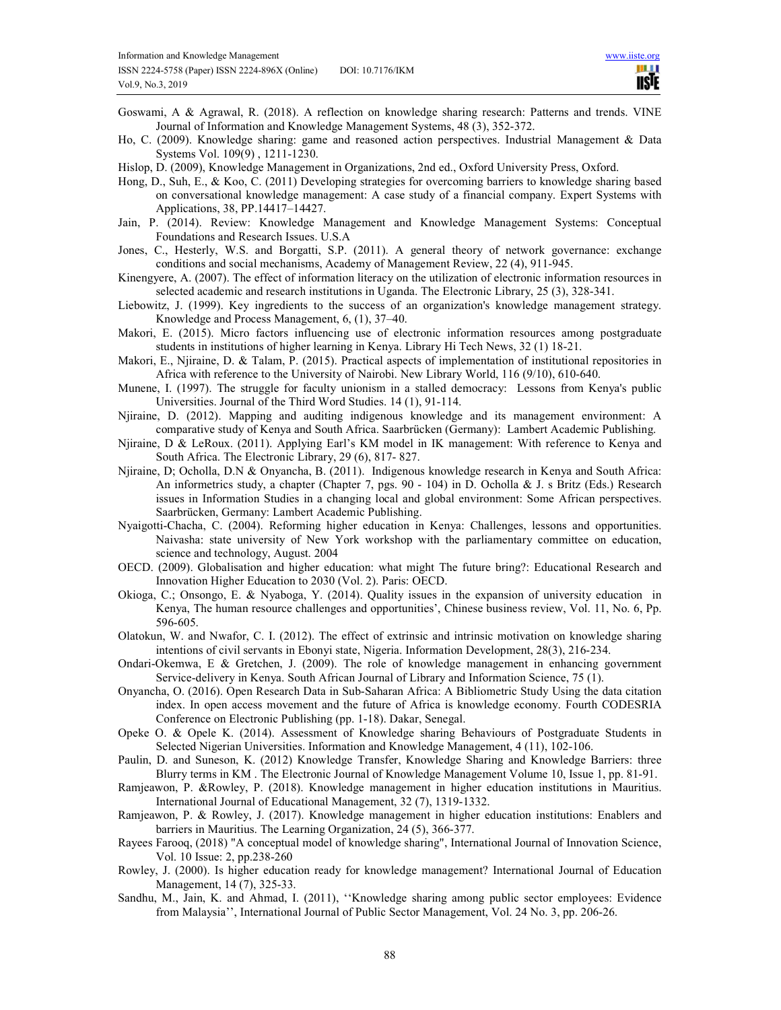- Goswami, A & Agrawal, R. (2018). A reflection on knowledge sharing research: Patterns and trends. VINE Journal of Information and Knowledge Management Systems, 48 (3), 352-372.
- Ho, C. (2009). Knowledge sharing: game and reasoned action perspectives. Industrial Management & Data Systems Vol. 109(9) , 1211-1230.
- Hislop, D. (2009), Knowledge Management in Organizations, 2nd ed., Oxford University Press, Oxford.
- Hong, D., Suh, E., & Koo, C. (2011) Developing strategies for overcoming barriers to knowledge sharing based on conversational knowledge management: A case study of a financial company. Expert Systems with Applications, 38, PP.14417–14427.
- Jain, P. (2014). Review: Knowledge Management and Knowledge Management Systems: Conceptual Foundations and Research Issues. U.S.A
- Jones, C., Hesterly, W.S. and Borgatti, S.P. (2011). A general theory of network governance: exchange conditions and social mechanisms, Academy of Management Review, 22 (4), 911-945.
- Kinengyere, A. (2007). The effect of information literacy on the utilization of electronic information resources in selected academic and research institutions in Uganda. The Electronic Library, 25 (3), 328-341.
- Liebowitz, J. (1999). Key ingredients to the success of an organization's knowledge management strategy. Knowledge and Process Management, 6, (1), 37–40.
- Makori, E. (2015). Micro factors influencing use of electronic information resources among postgraduate students in institutions of higher learning in Kenya. Library Hi Tech News, 32 (1) 18-21.
- Makori, E., Njiraine, D. & Talam, P. (2015). Practical aspects of implementation of institutional repositories in Africa with reference to the University of Nairobi. New Library World, 116 (9/10), 610-640.
- Munene, I. (1997). The struggle for faculty unionism in a stalled democracy: Lessons from Kenya's public Universities. Journal of the Third Word Studies. 14 (1), 91-114.
- Njiraine, D. (2012). Mapping and auditing indigenous knowledge and its management environment: A comparative study of Kenya and South Africa. Saarbrücken (Germany): Lambert Academic Publishing.
- Njiraine, D & LeRoux. (2011). Applying Earl's KM model in IK management: With reference to Kenya and South Africa. The Electronic Library, 29 (6), 817- 827.
- Njiraine, D; Ocholla, D.N & Onyancha, B. (2011). Indigenous knowledge research in Kenya and South Africa: An informetrics study, a chapter (Chapter 7, pgs. 90 - 104) in D. Ocholla & J. s Britz (Eds.) Research issues in Information Studies in a changing local and global environment: Some African perspectives. Saarbrücken, Germany: Lambert Academic Publishing.
- Nyaigotti-Chacha, C. (2004). Reforming higher education in Kenya: Challenges, lessons and opportunities. Naivasha: state university of New York workshop with the parliamentary committee on education, science and technology, August. 2004
- OECD. (2009). Globalisation and higher education: what might The future bring?: Educational Research and Innovation Higher Education to 2030 (Vol. 2). Paris: OECD.
- Okioga, C.; Onsongo, E. & Nyaboga, Y. (2014). Quality issues in the expansion of university education in Kenya, The human resource challenges and opportunities', Chinese business review, Vol. 11, No. 6, Pp. 596-605.
- Olatokun, W. and Nwafor, C. I. (2012). The effect of extrinsic and intrinsic motivation on knowledge sharing intentions of civil servants in Ebonyi state, Nigeria. Information Development, 28(3), 216-234.
- Ondari-Okemwa, E & Gretchen, J. (2009). The role of knowledge management in enhancing government Service-delivery in Kenya. South African Journal of Library and Information Science, 75 (1).
- Onyancha, O. (2016). Open Research Data in Sub-Saharan Africa: A Bibliometric Study Using the data citation index. In open access movement and the future of Africa is knowledge economy. Fourth CODESRIA Conference on Electronic Publishing (pp. 1-18). Dakar, Senegal.
- Opeke O. & Opele K. (2014). Assessment of Knowledge sharing Behaviours of Postgraduate Students in Selected Nigerian Universities. Information and Knowledge Management, 4 (11), 102-106.
- Paulin, D. and Suneson, K. (2012) Knowledge Transfer, Knowledge Sharing and Knowledge Barriers: three Blurry terms in KM . The Electronic Journal of Knowledge Management Volume 10, Issue 1, pp. 81-91.
- Ramjeawon, P. &Rowley, P. (2018). Knowledge management in higher education institutions in Mauritius. International Journal of Educational Management, 32 (7), 1319-1332.
- Ramjeawon, P. & Rowley, J. (2017). Knowledge management in higher education institutions: Enablers and barriers in Mauritius. The Learning Organization, 24 (5), 366-377.
- Rayees Farooq, (2018) "A conceptual model of knowledge sharing", International Journal of Innovation Science, Vol. 10 Issue: 2, pp.238-260
- Rowley, J. (2000). Is higher education ready for knowledge management? International Journal of Education Management, 14 (7), 325-33.
- Sandhu, M., Jain, K. and Ahmad, I. (2011), ''Knowledge sharing among public sector employees: Evidence from Malaysia'', International Journal of Public Sector Management, Vol. 24 No. 3, pp. 206-26.